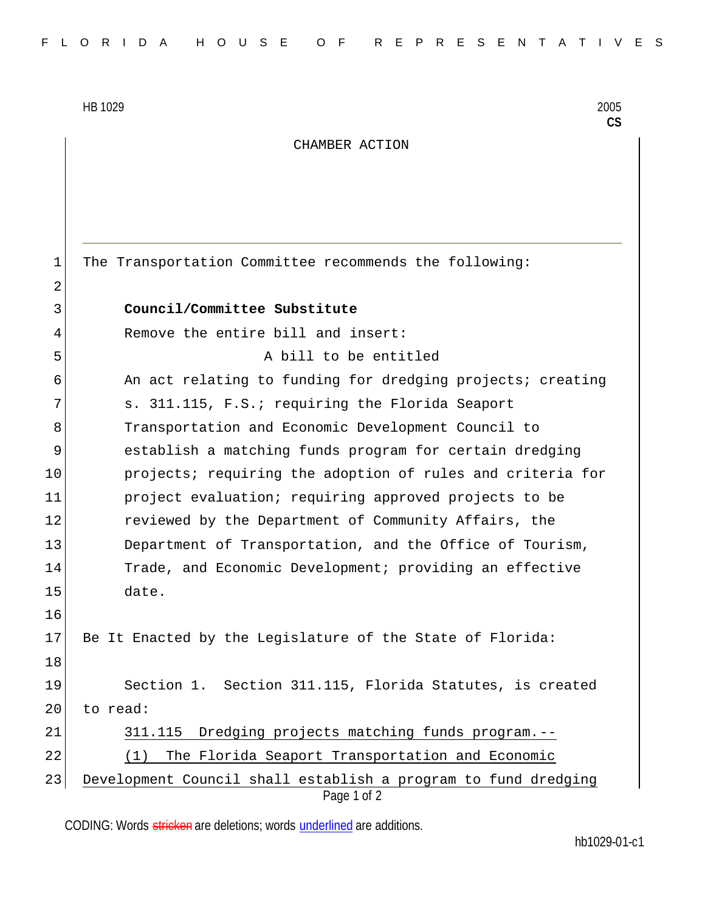HB 1029 2005

**CS**

## CHAMBER ACTION

Page 1 of 2 1 The Transportation Committee recommends the following: 2 3 **Council/Committee Substitute** 4 Remove the entire bill and insert: 5 A bill to be entitled 6 6 An act relating to funding for dredging projects; creating 7 S. 311.115, F.S.; requiring the Florida Seaport 8 Transportation and Economic Development Council to 9 establish a matching funds program for certain dredging 10 **projects;** requiring the adoption of rules and criteria for 11 project evaluation; requiring approved projects to be 12 reviewed by the Department of Community Affairs, the 13 Department of Transportation, and the Office of Tourism, 14 Trade, and Economic Development; providing an effective 15 date. 16 17 Be It Enacted by the Legislature of the State of Florida: 18 19 Section 1. Section 311.115, Florida Statutes, is created 20 to read: 21 311.115 Dredging projects matching funds program.-- 22 (1) The Florida Seaport Transportation and Economic 23 Development Council shall establish a program to fund dredging

CODING: Words stricken are deletions; words underlined are additions.

hb1029-01-c1